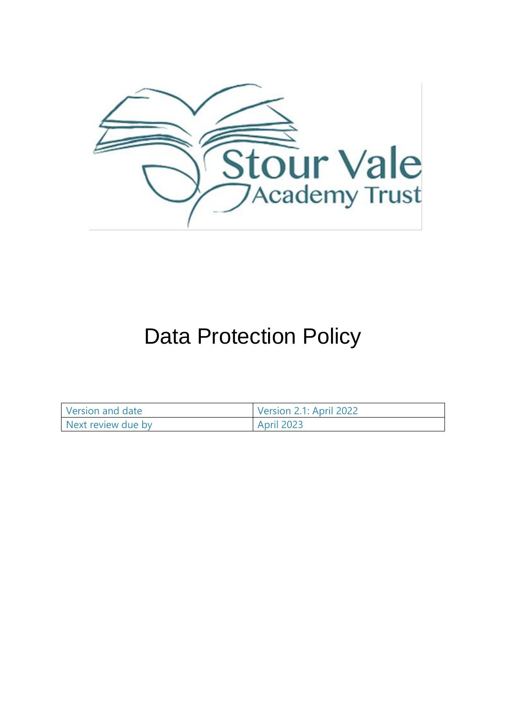

# Data Protection Policy

| Version and date   | Version 2.1: April 2022 |
|--------------------|-------------------------|
| Next review due by | <b>April 2023</b>       |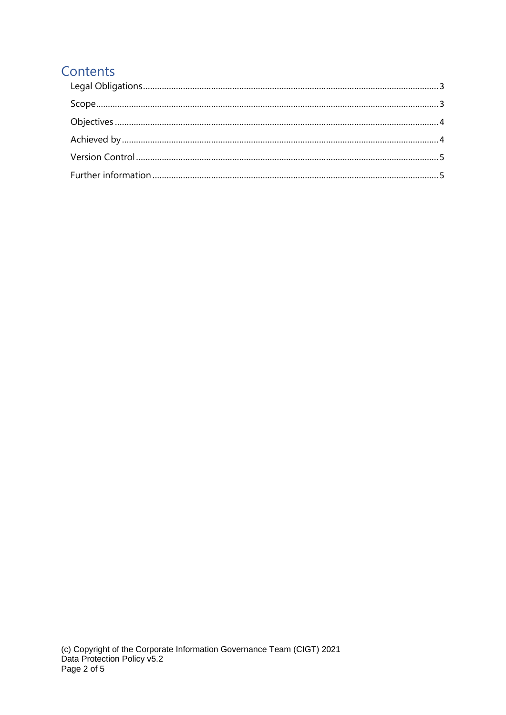# Contents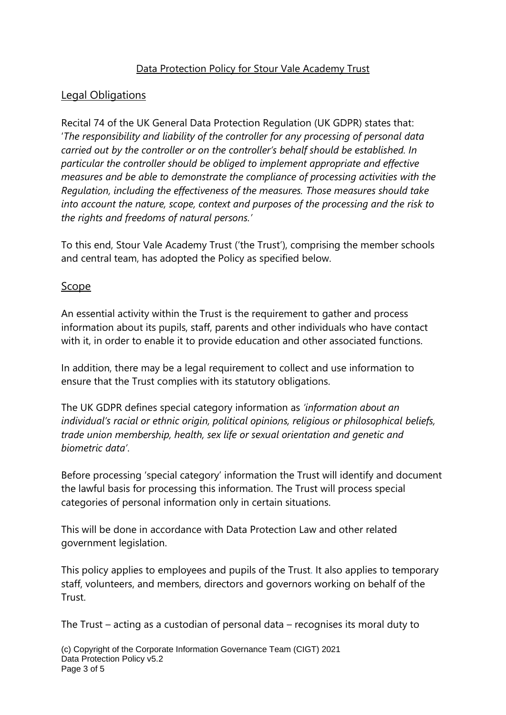#### Data Protection Policy for Stour Vale Academy Trust

### <span id="page-2-0"></span>Legal Obligations

Recital 74 of the UK General Data Protection Regulation (UK GDPR) states that: '*The responsibility and liability of the controller for any processing of personal data carried out by the controller or on the controller's behalf should be established. In particular the controller should be obliged to implement appropriate and effective measures and be able to demonstrate the compliance of processing activities with the Regulation, including the effectiveness of the measures. Those measures should take into account the nature, scope, context and purposes of the processing and the risk to the rights and freedoms of natural persons.'*

To this end, Stour Vale Academy Trust ('the Trust'), comprising the member schools and central team, has adopted the Policy as specified below.

#### <span id="page-2-1"></span>Scope

An essential activity within the Trust is the requirement to gather and process information about its pupils, staff, parents and other individuals who have contact with it, in order to enable it to provide education and other associated functions.

In addition, there may be a legal requirement to collect and use information to ensure that the Trust complies with its statutory obligations.

The UK GDPR defines special category information as *'information about an individual's racial or ethnic origin, political opinions, religious or philosophical beliefs, trade union membership, health, sex life or sexual orientation and genetic and biometric data'*.

Before processing 'special category' information the Trust will identify and document the lawful basis for processing this information. The Trust will process special categories of personal information only in certain situations.

This will be done in accordance with Data Protection Law and other related government legislation.

This policy applies to employees and pupils of the Trust. It also applies to temporary staff, volunteers, and members, directors and governors working on behalf of the Trust.

The Trust – acting as a custodian of personal data – recognises its moral duty to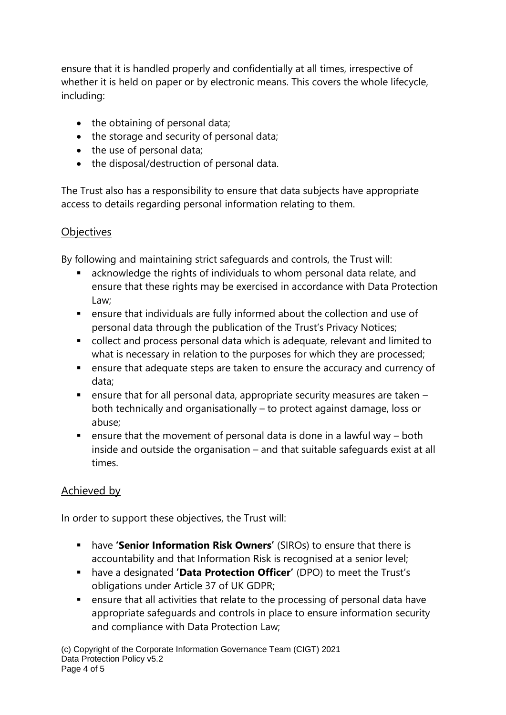ensure that it is handled properly and confidentially at all times, irrespective of whether it is held on paper or by electronic means. This covers the whole lifecycle, including:

- the obtaining of personal data;
- the storage and security of personal data;
- the use of personal data;
- the disposal/destruction of personal data.

The Trust also has a responsibility to ensure that data subjects have appropriate access to details regarding personal information relating to them.

### <span id="page-3-0"></span>**Objectives**

By following and maintaining strict safeguards and controls, the Trust will:

- acknowledge the rights of individuals to whom personal data relate, and ensure that these rights may be exercised in accordance with Data Protection Law;
- ensure that individuals are fully informed about the collection and use of personal data through the publication of the Trust's Privacy Notices;
- collect and process personal data which is adequate, relevant and limited to what is necessary in relation to the purposes for which they are processed;
- ensure that adequate steps are taken to ensure the accuracy and currency of data;
- $\blacksquare$  ensure that for all personal data, appropriate security measures are taken  $\blacksquare$ both technically and organisationally – to protect against damage, loss or abuse;
- **•** ensure that the movement of personal data is done in a lawful way  $-$  both inside and outside the organisation – and that suitable safeguards exist at all times.

## <span id="page-3-1"></span>Achieved by

In order to support these objectives, the Trust will:

- have **'Senior Information Risk Owners'** (SIROs) to ensure that there is accountability and that Information Risk is recognised at a senior level;
- have a designated **'Data Protection Officer'** (DPO) to meet the Trust's obligations under Article 37 of UK GDPR;
- ensure that all activities that relate to the processing of personal data have appropriate safeguards and controls in place to ensure information security and compliance with Data Protection Law;

(c) Copyright of the Corporate Information Governance Team (CIGT) 2021 Data Protection Policy v5.2 Page 4 of 5